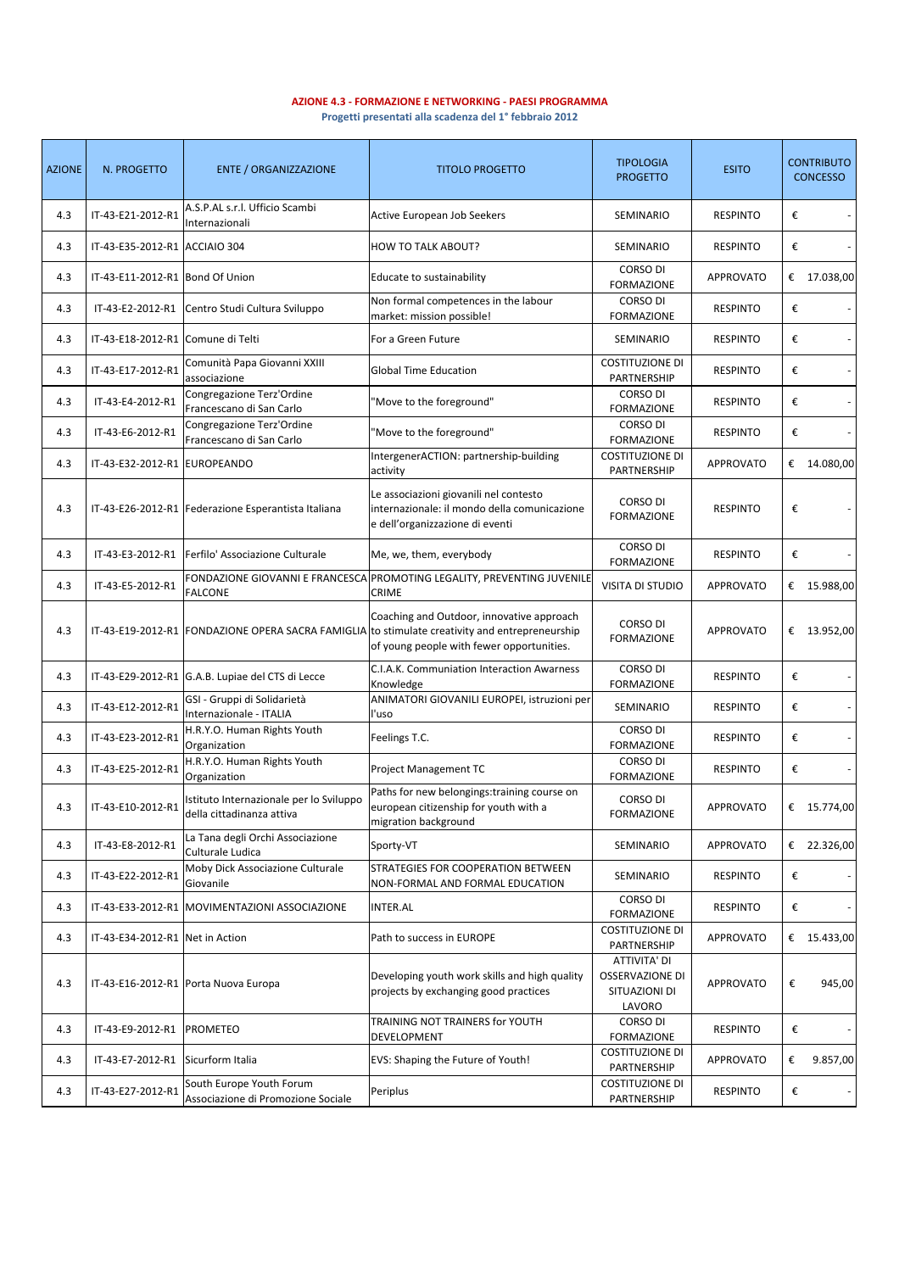**AZIONE 4.3 - FORMAZIONE E NETWORKING - PAESI PROGRAMMA**

**Progetti presentati alla scadenza del 1° febbraio 2012**

| <b>AZIONE</b> | N. PROGETTO                       | <b>ENTE / ORGANIZZAZIONE</b>                                         | <b>TITOLO PROGETTO</b>                                                                                                                 | <b>TIPOLOGIA</b><br><b>PROGETTO</b>                               | <b>ESITO</b>     | <b>CONTRIBUTO</b><br><b>CONCESSO</b> |
|---------------|-----------------------------------|----------------------------------------------------------------------|----------------------------------------------------------------------------------------------------------------------------------------|-------------------------------------------------------------------|------------------|--------------------------------------|
| 4.3           | IT-43-E21-2012-R1                 | A.S.P.AL s.r.l. Ufficio Scambi<br>Internazionali                     | Active European Job Seekers                                                                                                            | SEMINARIO                                                         | <b>RESPINTO</b>  | €                                    |
| 4.3           | IT-43-E35-2012-R1 ACCIAIO 304     |                                                                      | <b>HOW TO TALK ABOUT?</b>                                                                                                              | SEMINARIO                                                         | <b>RESPINTO</b>  | €                                    |
| 4.3           | IT-43-E11-2012-R1 Bond Of Union   |                                                                      | Educate to sustainability                                                                                                              | <b>CORSO DI</b><br><b>FORMAZIONE</b>                              | APPROVATO        | € 17.038,00                          |
| 4.3           | IT-43-E2-2012-R1                  | Centro Studi Cultura Sviluppo                                        | Non formal competences in the labour<br>market: mission possible!                                                                      | <b>CORSO DI</b><br><b>FORMAZIONE</b>                              | <b>RESPINTO</b>  | €                                    |
| 4.3           | IT-43-E18-2012-R1 Comune di Telti |                                                                      | For a Green Future                                                                                                                     | SEMINARIO                                                         | <b>RESPINTO</b>  | €                                    |
| 4.3           | IT-43-E17-2012-R1                 | Comunità Papa Giovanni XXIII<br>associazione                         | <b>Global Time Education</b>                                                                                                           | <b>COSTITUZIONE DI</b><br>PARTNERSHIP                             | <b>RESPINTO</b>  | €                                    |
| 4.3           | IT-43-E4-2012-R1                  | Congregazione Terz'Ordine<br>Francescano di San Carlo                | 'Move to the foreground"                                                                                                               | <b>CORSO DI</b><br><b>FORMAZIONE</b>                              | <b>RESPINTO</b>  | €                                    |
| 4.3           | IT-43-E6-2012-R1                  | Congregazione Terz'Ordine<br>Francescano di San Carlo                | "Move to the foreground"                                                                                                               | CORSO DI<br><b>FORMAZIONE</b>                                     | <b>RESPINTO</b>  | €                                    |
| 4.3           | IT-43-E32-2012-R1 EUROPEANDO      |                                                                      | IntergenerACTION: partnership-building<br>activity                                                                                     | <b>COSTITUZIONE DI</b><br>PARTNERSHIP                             | <b>APPROVATO</b> | € 14.080,00                          |
| 4.3           |                                   | IT-43-E26-2012-R1 Federazione Esperantista Italiana                  | Le associazioni giovanili nel contesto<br>internazionale: il mondo della comunicazione<br>e dell'organizzazione di eventi              | <b>CORSO DI</b><br><b>FORMAZIONE</b>                              | <b>RESPINTO</b>  | €                                    |
| 4.3           | IT-43-E3-2012-R1                  | Ferfilo' Associazione Culturale                                      | Me, we, them, everybody                                                                                                                | <b>CORSO DI</b><br><b>FORMAZIONE</b>                              | <b>RESPINTO</b>  | €                                    |
| 4.3           | IT-43-E5-2012-R1                  | <b>FALCONE</b>                                                       | FONDAZIONE GIOVANNI E FRANCESCA PROMOTING LEGALITY, PREVENTING JUVENILE<br><b>CRIME</b>                                                | VISITA DI STUDIO                                                  | <b>APPROVATO</b> | € $15.988,00$                        |
| 4.3           |                                   | IT-43-E19-2012-R1 FONDAZIONE OPERA SACRA FAMIGLIA                    | Coaching and Outdoor, innovative approach<br>to stimulate creativity and entrepreneurship<br>of young people with fewer opportunities. | CORSO DI<br><b>FORMAZIONE</b>                                     | <b>APPROVATO</b> | € 13.952,00                          |
| 4.3           |                                   | IT-43-E29-2012-R1 G.A.B. Lupiae del CTS di Lecce                     | C.I.A.K. Communiation Interaction Awarness<br>Knowledge                                                                                | CORSO DI<br><b>FORMAZIONE</b>                                     | <b>RESPINTO</b>  | €                                    |
| 4.3           | IT-43-E12-2012-R1                 | GSI - Gruppi di Solidarietà<br>Internazionale - ITALIA               | ANIMATORI GIOVANILI EUROPEI, istruzioni per<br>l'uso                                                                                   | SEMINARIO                                                         | <b>RESPINTO</b>  | €                                    |
| 4.3           | IT-43-E23-2012-R1                 | H.R.Y.O. Human Rights Youth<br>Organization                          | Feelings T.C.                                                                                                                          | <b>CORSO DI</b><br><b>FORMAZIONE</b>                              | <b>RESPINTO</b>  | €                                    |
| 4.3           | IT-43-E25-2012-R1                 | H.R.Y.O. Human Rights Youth<br>Organization                          | Project Management TC                                                                                                                  | <b>CORSO DI</b><br><b>FORMAZIONE</b>                              | <b>RESPINTO</b>  | €                                    |
| 4.3           | IT-43-E10-2012-R1                 | Istituto Internazionale per lo Sviluppo<br>della cittadinanza attiva | Paths for new belongings: training course on<br>european citizenship for youth with a<br>migration background                          | <b>CORSO DI</b><br><b>FORMAZIONE</b>                              | <b>APPROVATO</b> | € 15.774,00                          |
| 4.3           | IT-43-E8-2012-R1                  | La Tana degli Orchi Associazione<br>Culturale Ludica                 | Sporty-VT                                                                                                                              | SEMINARIO                                                         | <b>APPROVATO</b> | € 22.326,00                          |
| 4.3           | IT-43-E22-2012-R1                 | Moby Dick Associazione Culturale<br>Giovanile                        | STRATEGIES FOR COOPERATION BETWEEN<br>NON-FORMAL AND FORMAL EDUCATION                                                                  | SEMINARIO                                                         | <b>RESPINTO</b>  | €                                    |
| 4.3           | IT-43-E33-2012-R1                 | MOVIMENTAZIONI ASSOCIAZIONE                                          | INTER.AL                                                                                                                               | CORSO DI<br>FORMAZIONE                                            | <b>RESPINTO</b>  | €                                    |
| 4.3           | IT-43-E34-2012-R1 Net in Action   |                                                                      | Path to success in EUROPE                                                                                                              | <b>COSTITUZIONE DI</b><br>PARTNERSHIP                             | <b>APPROVATO</b> | € 15.433,00                          |
| 4.3           |                                   | IT-43-E16-2012-R1 Porta Nuova Europa                                 | Developing youth work skills and high quality<br>projects by exchanging good practices                                                 | ATTIVITA' DI<br><b>OSSERVAZIONE DI</b><br>SITUAZIONI DI<br>LAVORO | APPROVATO        | €<br>945,00                          |
| 4.3           | IT-43-E9-2012-R1                  | <b>PROMETEO</b>                                                      | TRAINING NOT TRAINERS for YOUTH<br>DEVELOPMENT                                                                                         | CORSO DI<br><b>FORMAZIONE</b>                                     | <b>RESPINTO</b>  | €                                    |
| 4.3           | IT-43-E7-2012-R1                  | Sicurform Italia                                                     | EVS: Shaping the Future of Youth!                                                                                                      | <b>COSTITUZIONE DI</b><br>PARTNERSHIP                             | <b>APPROVATO</b> | 9.857,00<br>€                        |
| 4.3           | IT-43-E27-2012-R1                 | South Europe Youth Forum<br>Associazione di Promozione Sociale       | Periplus                                                                                                                               | <b>COSTITUZIONE DI</b><br>PARTNERSHIP                             | <b>RESPINTO</b>  | €                                    |